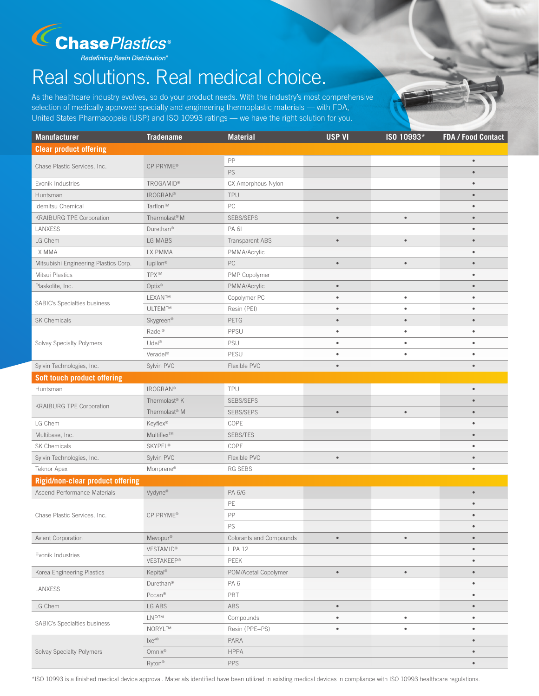

Redefining Resin Distribution®

## Real solutions. Real medical choice.

As the healthcare industry evolves, so do your product needs. With the industry's most comprehensive selection of medically approved specialty and engineering thermoplastic materials — with FDA, United States Pharmacopeia (USP) and ISO 10993 ratings — we have the right solution for you.

| <b>Manufacturer</b>                   | <b>Tradename</b>          | <b>Material</b>         | <b>USP VI</b>                                                              | ISO 10993* | <b>FDA / Food Contact</b> |
|---------------------------------------|---------------------------|-------------------------|----------------------------------------------------------------------------|------------|---------------------------|
| <b>Clear product offering</b>         |                           |                         |                                                                            |            |                           |
|                                       |                           | PP                      |                                                                            |            | $\bullet$                 |
| Chase Plastic Services, Inc.          | CP PRYME®                 | PS                      |                                                                            |            | $\bullet$                 |
| Evonik Industries                     | <b>TROGAMID®</b>          | CX Amorphous Nylon      |                                                                            |            | $\bullet$                 |
| Huntsman                              | <b>IROGRAN®</b>           | <b>TPU</b>              |                                                                            |            | $\bullet$                 |
| Idemitsu Chemical                     | Tarflon™                  | PC                      |                                                                            |            | $\bullet$                 |
| <b>KRAIBURG TPE Corporation</b>       | Thermolast <sup>®</sup> M | SEBS/SEPS               | $\bullet$                                                                  | $\bullet$  | $\bullet$                 |
| LANXESS                               | Durethan <sup>®</sup>     | PA 61                   |                                                                            |            | $\bullet$                 |
| LG Chem                               | LG MABS                   | <b>Transparent ABS</b>  | $\bullet$                                                                  | $\bullet$  |                           |
| LX MMA                                | LX PMMA                   | PMMA/Acrylic            |                                                                            |            | $\bullet$                 |
| Mitsubishi Engineering Plastics Corp. | lupilon <sup>®</sup>      | PC                      | $\bullet$                                                                  | $\bullet$  | $\bullet$                 |
| Mitsui Plastics                       | <b>TPXTM</b>              | PMP Copolymer           |                                                                            |            | $\bullet$                 |
| Plaskolite, Inc.                      | Optix <sup>®</sup>        | PMMA/Acrylic            | $\bullet$                                                                  |            | $\bullet$                 |
|                                       | LEXAN™                    | Copolymer PC            | $\bullet$                                                                  | $\bullet$  | $\bullet$                 |
| SABIC's Specialties business          | ULTEM™                    | Resin (PEI)             | $\bullet$<br>$\bullet$<br>$\bullet$<br>$\bullet$<br>$\bullet$<br>$\bullet$ | ٠          | $\bullet$                 |
| SK Chemicals                          | Skygreen®                 | PETG                    |                                                                            | $\bullet$  | $\bullet$                 |
|                                       | Radel®                    | PPSU                    |                                                                            | $\bullet$  | $\bullet$                 |
| Solvay Specialty Polymers             | $U$ del®                  | PSU                     |                                                                            | $\bullet$  | $\bullet$                 |
|                                       | Veradel®                  | PESU                    |                                                                            | $\bullet$  | $\bullet$                 |
| Sylvin Technologies, Inc.             | Sylvin PVC                | Flexible PVC            |                                                                            |            | $\bullet$                 |
| Soft touch product offering           |                           |                         |                                                                            |            |                           |
| Huntsman                              | <b>IROGRAN®</b>           | TPU                     |                                                                            |            | $\bullet$                 |
|                                       | Thermolast <sup>®</sup> K | <b>SEBS/SEPS</b>        |                                                                            |            | $\bullet$                 |
| <b>KRAIBURG TPE Corporation</b>       | Thermolast <sup>®</sup> M | SEBS/SEPS               |                                                                            | $\bullet$  | $\bullet$                 |
| LG Chem                               | Keyflex®                  | COPE                    |                                                                            |            | $\bullet$                 |
| Multibase, Inc.                       | Multiflex™                | <b>SEBS/TES</b>         |                                                                            |            | $\bullet$                 |
| <b>SK Chemicals</b>                   | <b>SKYPEL®</b>            | COPE                    |                                                                            |            |                           |
| Sylvin Technologies, Inc.             | Sylvin PVC                | Flexible PVC            | $\bullet$                                                                  |            | $\bullet$                 |
| Teknor Apex                           | Monprene®                 | RG SEBS                 |                                                                            |            | $\bullet$                 |
| Rigid/non-clear product offering      |                           |                         |                                                                            |            |                           |
| Ascend Performance Materials          | Vydyne®                   | PA 6/6                  |                                                                            |            | $\bullet$                 |
|                                       |                           | PE                      |                                                                            |            |                           |
| Chase Plastic Services, Inc.          | CP PRYME®                 | PP                      |                                                                            |            | $\bullet$                 |
|                                       |                           | PS                      |                                                                            |            |                           |
| Avient Corporation                    | Mevopur <sup>®</sup>      | Colorants and Compounds | $\bullet$                                                                  | $\bullet$  | $\bullet$                 |
| Evonik Industries                     | <b>VESTAMID®</b>          | L PA 12                 |                                                                            |            | $\bullet$                 |
|                                       | <b>VESTAKEEP®</b>         | PEEK                    |                                                                            |            | $\bullet$                 |
| Korea Engineering Plastics            | Kepital <sup>®</sup>      | POM/Acetal Copolymer    | $\bullet$                                                                  | $\bullet$  | $\bullet$                 |
| LANXESS                               | Durethan <sup>®</sup>     | PA <sub>6</sub>         |                                                                            |            | $\bullet$                 |
|                                       | Pocan®                    | PBT                     |                                                                            |            | $\bullet$                 |
| LG Chem                               | LG ABS                    | ABS                     | $\bullet$                                                                  |            | $\bullet$                 |
| SABIC's Specialties business          | <b>LNPTM</b>              | Compounds               | $\bullet$                                                                  | $\bullet$  | $\bullet$                 |
|                                       | NORYL™                    | Resin (PPE+PS)          | $\bullet$                                                                  | $\bullet$  | $\bullet$                 |
| Solvay Specialty Polymers             | lxef®                     | PARA                    |                                                                            |            | $\bullet$                 |
|                                       | Omnix <sup>®</sup>        | <b>HPPA</b>             |                                                                            |            |                           |
|                                       | Ryton®                    | PPS                     |                                                                            |            | $\bullet$                 |

\*ISO 10993 is a finished medical device approval. Materials identified have been utilized in existing medical devices in compliance with ISO 10993 healthcare regulations.